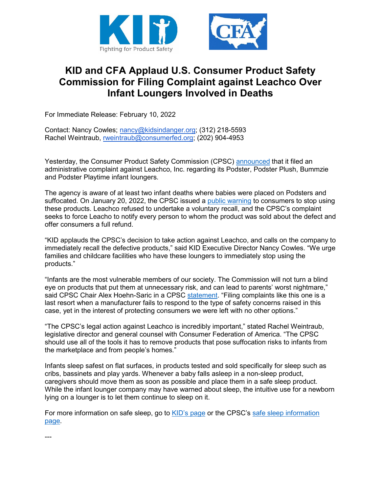

## **KID and CFA Applaud U.S. Consumer Product Safety Commission for Filing Complaint against Leachco Over Infant Loungers Involved in Deaths**

For Immediate Release: February 10, 2022

Contact: Nancy Cowles; [nancy@kidsindanger.org;](mailto:nancy@kidsindanger.org) (312) 218-5593 Rachel Weintraub, [rweintraub@consumerfed.org;](mailto:rweintraub@consumerfed.org) (202) 904-4953

Yesterday, the Consumer Product Safety Commission (CPSC) [announced](https://www.cpsc.gov/Newsroom/News-Releases/2022/CPSC-Sues-Leachco-Over-Suffocation-Hazard-from-Defective-Infant-Loungers-Seeks-Notice-and-Refund-to-Consumers-from-Company) that it filed an administrative complaint against Leachco, Inc. regarding its Podster, Podster Plush, Bummzie and Podster Playtime infant loungers.

The agency is aware of at least two infant deaths where babies were placed on Podsters and suffocated. On January 20, 2022, the CPSC issued a [public warning](https://www.cpsc.gov/Newsroom/News-Releases/2022/CPSC-Warns-Consumers-Stop-Using-the-Leachco-Podster-Podster-Plush-Bummzie-and-Podster-Playtime-Infant-Loungers-Due-to-Suffocation-Hazard-Two-Infant-Deaths-Investigated) to consumers to stop using these products. Leachco refused to undertake a voluntary recall, and the CPSC's complaint seeks to force Leacho to notify every person to whom the product was sold about the defect and offer consumers a full refund.

"KID applauds the CPSC's decision to take action against Leachco, and calls on the company to immediately recall the defective products," said KID Executive Director Nancy Cowles. "We urge families and childcare facilities who have these loungers to immediately stop using the products."

"Infants are the most vulnerable members of our society. The Commission will not turn a blind eye on products that put them at unnecessary risk, and can lead to parents' worst nightmare," said CPSC Chair Alex Hoehn-Saric in a CPSC [statement.](https://www.cpsc.gov/Newsroom/News-Releases/2022/CPSC-Sues-Leachco-Over-Suffocation-Hazard-from-Defective-Infant-Loungers-Seeks-Notice-and-Refund-to-Consumers-from-Company) "Filing complaints like this one is a last resort when a manufacturer fails to respond to the type of safety concerns raised in this case, yet in the interest of protecting consumers we were left with no other options."

"The CPSC's legal action against Leachco is incredibly important," stated Rachel Weintraub, legislative director and general counsel with Consumer Federation of America. "The CPSC should use all of the tools it has to remove products that pose suffocation risks to infants from the marketplace and from people's homes."

Infants sleep safest on flat surfaces, in products tested and sold specifically for sleep such as cribs, bassinets and play yards. Whenever a baby falls asleep in a non-sleep product, caregivers should move them as soon as possible and place them in a safe sleep product. While the infant lounger company may have warned about sleep, the intuitive use for a newborn lying on a lounger is to let them continue to sleep on it.

For more information on safe sleep, go to [KID's page](https://kidsindanger.org/protect-your-child/sleep/) or the CPSC's [safe sleep information](https://www.cpsc.gov/SafeSleep)  [page.](https://www.cpsc.gov/SafeSleep)

---